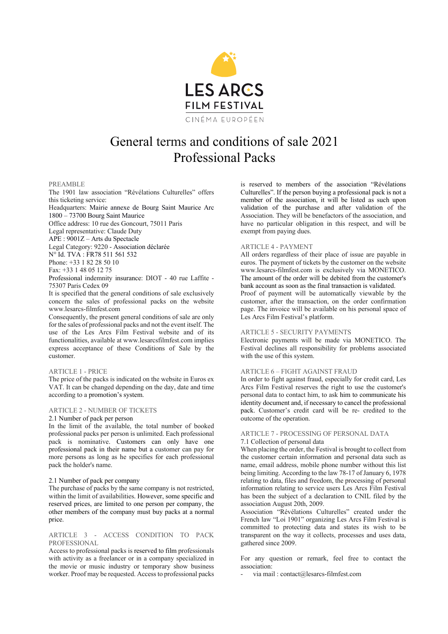

# General terms and conditions of sale 2021 Professional Packs

## PREAMBLE

The 1901 law association "Révélations Culturelles" offers this ticketing service:

Headquarters: Mairie annexe de Bourg Saint Maurice Arc 1800 – 73700 Bourg Saint Maurice

Office address: 10 rue des Goncourt, 75011 Paris

Legal representative: Claude Duty

APE : 9001Z – Arts du Spectacle

Legal Category: 9220 - Association déclarée

N° Id. TVA : FR78 511 561 532

Phone: +33 1 82 28 50 10

Fax: +33 1 48 05 12 75

Professional indemnity insurance: DIOT - 40 rue Laffite - 75307 Paris Cedex 09

It is specified that the general conditions of sale exclusively concern the sales of professional packs on the website www.lesarcs-filmfest.com

Consequently, the present general conditions of sale are only for the sales of professional packs and not the event itself. The use of the Les Arcs Film Festival website and of its functionalities, available at www.lesarcsfilmfest.com implies express acceptance of these Conditions of Sale by the customer.

### ARTICLE 1 - PRICE

The price of the packs is indicated on the website in Euros ex VAT. It can be changed depending on the day, date and time according to a promotion's system.

### ARTICLE 2 - NUMBER OF TICKETS

### 2.1 Number of pack per person

In the limit of the available, the total number of booked professional packs per person is unlimited. Each professional pack is nominative. Customers can only have one professional pack in their name but a customer can pay for more persons as long as he specifies for each professional pack the holder's name.

# 2.1 Number of pack per company

The purchase of packs by the same company is not restricted, within the limit of availabilities. However, some specific and reserved prices, are limited to one person per company, the other members of the company must buy packs at a normal price.

# ARTICLE 3 - ACCESS CONDITION TO PACK PROFESSIONAL

Access to professional packs is reserved to film professionals with activity as a freelancer or in a company specialized in the movie or music industry or temporary show business worker. Proof may be requested. Access to professional packs is reserved to members of the association "Révélations Culturelles". If the person buying a professional pack is not a member of the association, it will be listed as such upon validation of the purchase and after validation of the Association. They will be benefactors of the association, and have no particular obligation in this respect, and will be exempt from paying dues.

## ARTICLE 4 - PAYMENT

All orders regardless of their place of issue are payable in euros. The payment of tickets by the customer on the website www.lesarcs-filmfest.com is exclusively via MONETICO. The amount of the order will be debited from the customer's bank account as soon as the final transaction is validated.

Proof of payment will be automatically viewable by the customer, after the transaction, on the order confirmation page. The invoice will be available on his personal space of Les Arcs Film Festival's platform.

### ARTICLE 5 - SECURITY PAYMENTS

Electronic payments will be made via MONETICO. The Festival declines all responsibility for problems associated with the use of this system.

# ARTICLE 6 – FIGHT AGAINST FRAUD

In order to fight against fraud, especially for credit card, Les Arcs Film Festival reserves the right to use the customer's personal data to contact him, to ask him to communicate his identity document and, if necessary to cancel the professional pack. Customer's credit card will be re- credited to the outcome of the operation.

# ARTICLE 7 - PROCESSING OF PERSONAL DATA 7.1 Collection of personal data

When placing the order, the Festival is brought to collect from the customer certain information and personal data such as name, email address, mobile phone number without this list being limiting. According to the law 78-17 of January 6, 1978 relating to data, files and freedom, the processing of personal information relating to service users Les Arcs Film Festival has been the subject of a declaration to CNIL filed by the association August 20th, 2009.

Association "Révélations Culturelles" created under the French law "Loi 1901" organizing Les Arcs Film Festival is committed to protecting data and states its wish to be transparent on the way it collects, processes and uses data, gathered since 2009.

For any question or remark, feel free to contact the association:

via mail : contact@lesarcs-filmfest.com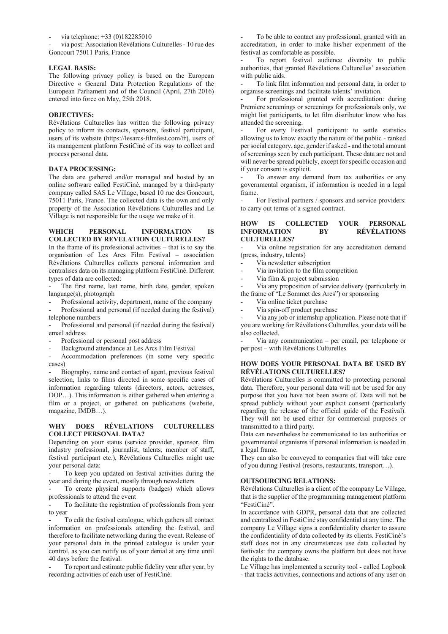via telephone: +33 (0)182285010

via post: Association Révélations Culturelles - 10 rue des Goncourt 75011 Paris, France

## **LEGAL BASIS:**

The following privacy policy is based on the European Directive « General Data Protection Regulation» of the European Parliament and of the Council (April, 27th 2016) entered into force on May, 25th 2018.

# **OBJECTIVES:**

Révélations Culturelles has written the following privacy policy to inform its contacts, sponsors, festival participant, users of its website (https://lesarcs-filmfest.com/fr), users of its management platform FestiCiné of its way to collect and process personal data.

# **DATA PROCESSING:**

The data are gathered and/or managed and hosted by an online software called FestiCiné, managed by a third-party company called SAS Le Village, based 10 rue des Goncourt, 75011 Paris, France. The collected data is the own and only property of the Association Révélations Culturelles and Le Village is not responsible for the usage we make of it.

# **WHICH PERSONAL INFORMATION IS COLLECTED BY REVELATION CULTURELLES?**

In the frame of its professional activities – that is to say the organisation of Les Arcs Film Festival – association Révélations Culturelles collects personal information and centralises data on its managing platform FestiCiné. Different types of data are collected:

The first name, last name, birth date, gender, spoken language(s), photograph

Professional activity, department, name of the company

Professional and personal (if needed during the festival) telephone numbers

Professional and personal (if needed during the festival) email address

Professional or personal post address

Background attendance at Les Arcs Film Festival

Accommodation preferences (in some very specific cases)

Biography, name and contact of agent, previous festival selection, links to films directed in some specific cases of information regarding talents (directors, actors, actresses, DOP…). This information is either gathered when entering a film or a project, or gathered on publications (website, magazine, IMDB…).

## **WHY DOES RÉVELATIONS CULTURELLES COLLECT PERSONAL DATA?**

Depending on your status (service provider, sponsor, film industry professional, journalist, talents, member of staff, festival participant etc.), Révélations Culturelles might use your personal data:

To keep you updated on festival activities during the year and during the event, mostly through newsletters

To create physical supports (badges) which allows professionals to attend the event

To facilitate the registration of professionals from year to year

To edit the festival catalogue, which gathers all contact information on professionals attending the festival, and therefore to facilitate networking during the event. Release of your personal data in the printed catalogue is under your control, as you can notify us of your denial at any time until 40 days before the festival.

To report and estimate public fidelity year after year, by recording activities of each user of FestiCiné.

To be able to contact any professional, granted with an accreditation, in order to make his/her experiment of the festival as comfortable as possible.

To report festival audience diversity to public authorities, that granted Révélations Culturelles' association with public aids.

To link film information and personal data, in order to organise screenings and facilitate talents' invitation.

For professional granted with accreditation: during Premiere screenings or screenings for professionals only, we might list participants, to let film distributor know who has attended the screening.

For every Festival participant: to settle statistics allowing us to know exactly the nature of the public - ranked per social category, age, gender if asked - and the total amount of screenings seen by each participant. These data are not and will never be spread publicly, except for specific occasion and if your consent is explicit.

To answer any demand from tax authorities or any governmental organism, if information is needed in a legal frame.

For Festival partners / sponsors and service providers: to carry out terms of a signed contract.

## **HOW IS COLLECTED YOUR PERSONAL INFORMATION BY RÉVÉLATIONS CULTURELLES?**

Via online registration for any accreditation demand (press, industry, talents)

- Via newsletter subscription
- Via invitation to the film competition
- Via film & project submission

Via any proposition of service delivery (particularly in the frame of "Le Sommet des Arcs") or sponsoring

Via online ticket purchase

Via spin-off product purchase

Via any job or internship application. Please note that if you are working for Révélations Culturelles, your data will be also collected.

Via any communication – per email, per telephone or per post – with Révélations Culturelles

# **HOW DOES YOUR PERSONAL DATA BE USED BY RÉVÉLATIONS CULTURELLES?**

Révélations Culturelles is committed to protecting personal data. Therefore, your personal data will not be used for any purpose that you have not been aware of. Data will not be spread publicly without your explicit consent (particularly regarding the release of the official guide of the Festival). They will not be used either for commercial purposes or transmitted to a third party.

Data can nevertheless be communicated to tax authorities or governmental organisms if personal information is needed in a legal frame.

They can also be conveyed to companies that will take care of you during Festival (resorts, restaurants, transport…).

### **OUTSOURCING RELATIONS:**

Révélations Culturelles is a client of the company Le Village, that is the supplier of the programming management platform "FestiCiné".

In accordance with GDPR, personal data that are collected and centralized in FestiCiné stay confidential at any time. The company Le Village signs a confidentiality charter to assure the confidentiality of data collected by its clients. FestiCiné's staff does not in any circumstances use data collected by festivals: the company owns the platform but does not have the rights to the database.

Le Village has implemented a security tool - called Logbook - that tracks activities, connections and actions of any user on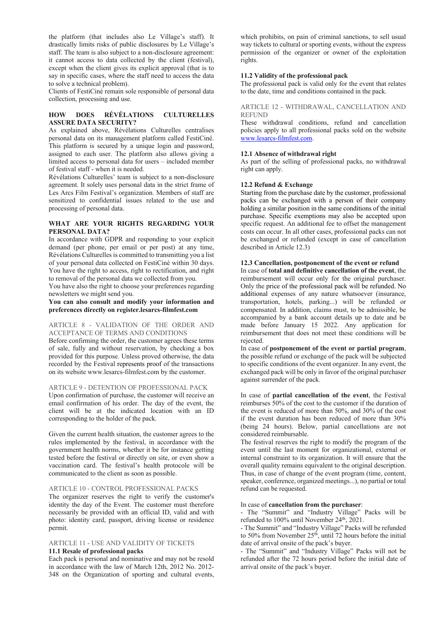the platform (that includes also Le Village's staff). It drastically limits risks of public disclosures by Le Village's staff. The team is also subject to a non-disclosure agreement: it cannot access to data collected by the client (festival), except when the client gives its explicit approval (that is to say in specific cases, where the staff need to access the data to solve a technical problem).

Clients of FestiCiné remain sole responsible of personal data collection, processing and use.

# **HOW DOES RÉVÉLATIONS CULTURELLES ASSURE DATA SECURITY?**

As explained above, Révélations Culturelles centralises personal data on its management platform called FestiCiné. This platform is secured by a unique login and password, assigned to each user. The platform also allows giving a limited access to personal data for users – included member of festival staff - when it is needed.

Révélations Culturelles' team is subject to a non-disclosure agreement. It solely uses personal data in the strict frame of Les Arcs Film Festival's organization. Members of staff are sensitized to confidential issues related to the use and processing of personal data.

## **WHAT ARE YOUR RIGHTS REGARDING YOUR PERSONAL DATA?**

In accordance with GDPR and responding to your explicit demand (per phone, per email or per post) at any time, Révélations Culturelles is committed to transmitting you a list of your personal data collected on FestiCiné within 30 days. You have the right to access, right to rectification, and right to removal of the personal data we collected from you.

You have also the right to choose your preferences regarding newsletters we might send you.

**You can also consult and modify your information and preferences directly on register.lesarcs-filmfest.com**

# ARTICLE 8 - VALIDATION OF THE ORDER AND ACCEPTANCE OF TERMS AND CONDITIONS

Before confirming the order, the customer agrees these terms of sale, fully and without reservation, by checking a box provided for this purpose. Unless proved otherwise, the data recorded by the Festival represents proof of the transactions on its website www.lesarcs-filmfest.com by the customer.

# ARTICLE 9 - DETENTION OF PROFESSIONAL PACK

Upon confirmation of purchase, the customer will receive an email confirmation of his order. The day of the event, the client will be at the indicated location with an ID corresponding to the holder of the pack.

Given the current health situation, the customer agrees to the rules implemented by the festival, in accordance with the government health norms, whether it be for instance getting tested before the festival or directly on site, or even show a vaccination card. The festival's health protocole will be communicated to the client as soon as possible.

## ARTICLE 10 - CONTROL PROFESSIONAL PACKS

The organizer reserves the right to verify the customer's identity the day of the Event. The customer must therefore necessarily be provided with an official ID, valid and with photo: identity card, passport, driving license or residence permit.

## ARTICLE 11 - USE AND VALIDITY OF TICKETS **11.1 Resale of professional packs**

Each pack is personal and nominative and may not be resold in accordance with the law of March 12th, 2012 No. 2012- 348 on the Organization of sporting and cultural events,

which prohibits, on pain of criminal sanctions, to sell usual way tickets to cultural or sporting events, without the express permission of the organizer or owner of the exploitation rights.

## **11.2 Validity of the professional pack**

The professional pack is valid only for the event that relates to the date, time and conditions contained in the pack.

ARTICLE 12 - WITHDRAWAL, CANCELLATION AND REFUND

These withdrawal conditions, refund and cancellation policies apply to all professional packs sold on the website www.lesarcs-filmfest.com.

# **12.1 Absence of withdrawal right**

As part of the selling of professional packs, no withdrawal right can apply.

## **12.2 Refund & Exchange**

Starting from the purchase date by the customer, professional packs can be exchanged with a person of their company holding a similar position in the same conditions of the initial purchase. Specific exemptions may also be accepted upon specific request. An additional fee to offset the management costs can occur. In all other cases, professional packs can not be exchanged or refunded (except in case of cancellation described in Article 12.3)

## **12.3 Cancellation, postponement of the event or refund**

In case of **total and definitive cancellation of the event**, the reimbursement will occur only for the original purchaser. Only the price of the professional pack will be refunded. No additional expenses of any nature whatsoever (insurance, transportation, hotels, parking...) will be refunded or compensated. In addition, claims must, to be admissible, be accompanied by a bank account details up to date and be made before January 15 2022. Any application for reimbursement that does not meet these conditions will be rejected.

In case of **postponement of the event or partial program**, the possible refund or exchange of the pack will be subjected to specific conditions of the event organizer. In any event, the exchanged pack will be only in favor of the original purchaser against surrender of the pack.

In case of **partial cancellation of the event**, the Festival reimburses 50% of the cost to the customer if the duration of the event is reduced of more than 50%, and 30% of the cost if the event duration has been reduced of more than 30% (being 24 hours). Below, partial cancellations are not considered reimbursable.

The festival reserves the right to modify the program of the event until the last moment for organizational, external or internal constraint to its organization. It will ensure that the overall quality remains equivalent to the original description. Thus, in case of change of the event program (time, content, speaker, conference, organized meetings...), no partial or total refund can be requested.

### In case of **cancellation from the purchaser**:

- The "Summit" and "Industry Village" Packs will be refunded to 100% until November 24<sup>th</sup>, 2021.

- The Summit" and "Industry Village" Packs will be refunded to 50% from November 25<sup>th</sup>, until 72 hours before the initial date of arrival onsite of the pack's buyer.

- The "Summit" and "Industry Village" Packs will not be refunded after the 72 hours period before the initial date of arrival onsite of the pack's buyer.